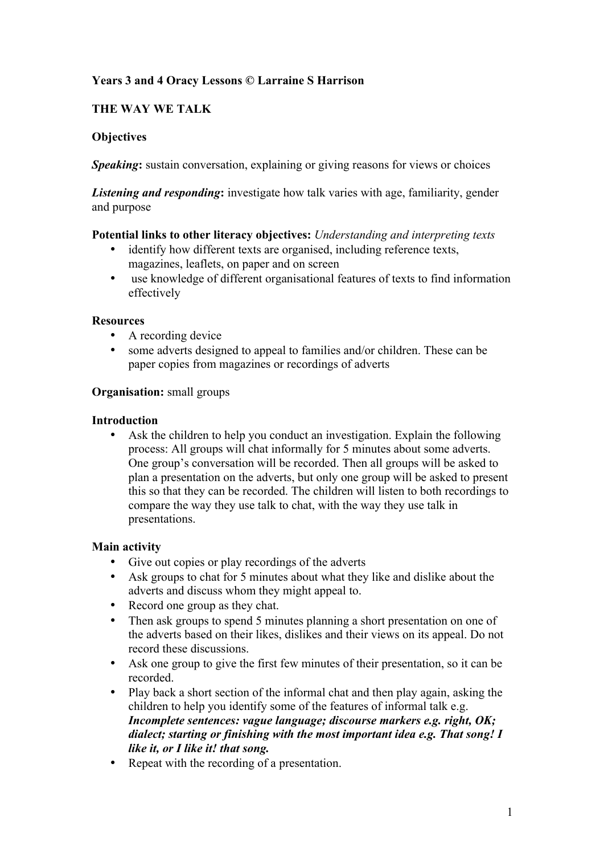# **Years 3 and 4 Oracy Lessons © Larraine S Harrison**

# **THE WAY WE TALK**

## **Objectives**

*Speaking***:** sustain conversation, explaining or giving reasons for views or choices

*Listening and responding***:** investigate how talk varies with age, familiarity, gender and purpose

## **Potential links to other literacy objectives:** *Understanding and interpreting texts*

- identify how different texts are organised, including reference texts, magazines, leaflets, on paper and on screen
- use knowledge of different organisational features of texts to find information effectively

## **Resources**

- A recording device
- some adverts designed to appeal to families and/or children. These can be paper copies from magazines or recordings of adverts

## **Organisation:** small groups

## **Introduction**

Ask the children to help you conduct an investigation. Explain the following process: All groups will chat informally for 5 minutes about some adverts. One group's conversation will be recorded. Then all groups will be asked to plan a presentation on the adverts, but only one group will be asked to present this so that they can be recorded. The children will listen to both recordings to compare the way they use talk to chat, with the way they use talk in presentations.

## **Main activity**

- Give out copies or play recordings of the adverts
- Ask groups to chat for 5 minutes about what they like and dislike about the adverts and discuss whom they might appeal to.
- Record one group as they chat.
- Then ask groups to spend 5 minutes planning a short presentation on one of the adverts based on their likes, dislikes and their views on its appeal. Do not record these discussions.
- Ask one group to give the first few minutes of their presentation, so it can be recorded.
- Play back a short section of the informal chat and then play again, asking the children to help you identify some of the features of informal talk e.g. *Incomplete sentences: vague language; discourse markers e.g. right, OK; dialect; starting or finishing with the most important idea e.g. That song! I like it, or I like it! that song.*
- Repeat with the recording of a presentation.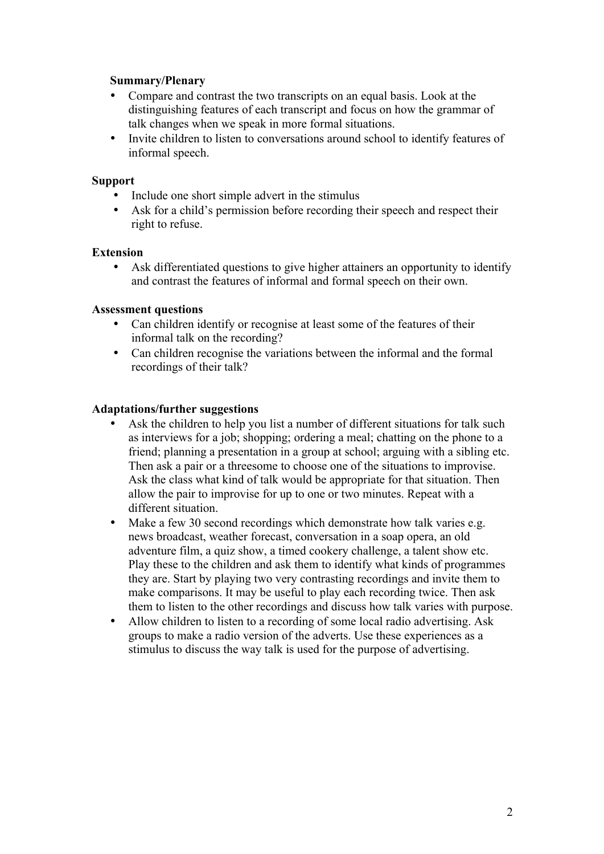## **Summary/Plenary**

- Compare and contrast the two transcripts on an equal basis. Look at the distinguishing features of each transcript and focus on how the grammar of talk changes when we speak in more formal situations.
- Invite children to listen to conversations around school to identify features of informal speech.

### **Support**

- Include one short simple advert in the stimulus
- Ask for a child's permission before recording their speech and respect their right to refuse.

### **Extension**

• Ask differentiated questions to give higher attainers an opportunity to identify and contrast the features of informal and formal speech on their own.

### **Assessment questions**

- Can children identify or recognise at least some of the features of their informal talk on the recording?
- Can children recognise the variations between the informal and the formal recordings of their talk?

#### **Adaptations/further suggestions**

- Ask the children to help you list a number of different situations for talk such as interviews for a job; shopping; ordering a meal; chatting on the phone to a friend; planning a presentation in a group at school; arguing with a sibling etc. Then ask a pair or a threesome to choose one of the situations to improvise. Ask the class what kind of talk would be appropriate for that situation. Then allow the pair to improvise for up to one or two minutes. Repeat with a different situation.
- Make a few 30 second recordings which demonstrate how talk varies e.g. news broadcast, weather forecast, conversation in a soap opera, an old adventure film, a quiz show, a timed cookery challenge, a talent show etc. Play these to the children and ask them to identify what kinds of programmes they are. Start by playing two very contrasting recordings and invite them to make comparisons. It may be useful to play each recording twice. Then ask them to listen to the other recordings and discuss how talk varies with purpose.
- Allow children to listen to a recording of some local radio advertising. Ask groups to make a radio version of the adverts. Use these experiences as a stimulus to discuss the way talk is used for the purpose of advertising.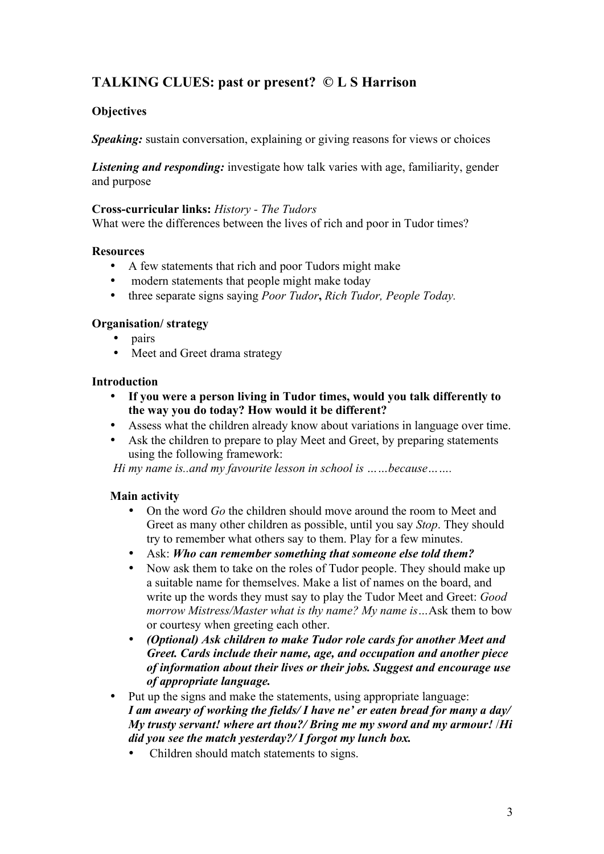# **TALKING CLUES: past or present? © L S Harrison**

# **Objectives**

*Speaking:* sustain conversation, explaining or giving reasons for views or choices

*Listening and responding:* investigate how talk varies with age, familiarity, gender and purpose

### **Cross-curricular links:** *History - The Tudors*

What were the differences between the lives of rich and poor in Tudor times?

## **Resources**

- A few statements that rich and poor Tudors might make
- modern statements that people might make today
- three separate signs saying *Poor Tudor***,** *Rich Tudor, People Today.*

## **Organisation/ strategy**

- pairs
- Meet and Greet drama strategy

## **Introduction**

- **If you were a person living in Tudor times, would you talk differently to the way you do today? How would it be different?**
- Assess what the children already know about variations in language over time.
- Ask the children to prepare to play Meet and Greet, by preparing statements using the following framework:

*Hi my name is..and my favourite lesson in school is ……because…….*

## **Main activity**

- On the word *Go* the children should move around the room to Meet and Greet as many other children as possible, until you say *Stop*. They should try to remember what others say to them. Play for a few minutes.
- Ask: *Who can remember something that someone else told them?*
- Now ask them to take on the roles of Tudor people. They should make up a suitable name for themselves. Make a list of names on the board, and write up the words they must say to play the Tudor Meet and Greet: *Good morrow Mistress/Master what is thy name? My name is…*Ask them to bow or courtesy when greeting each other.
- *(Optional) Ask children to make Tudor role cards for another Meet and Greet. Cards include their name, age, and occupation and another piece of information about their lives or their jobs. Suggest and encourage use of appropriate language.*
- Put up the signs and make the statements, using appropriate language: *I am aweary of working the fields/ I have ne' er eaten bread for many a day/ My trusty servant! where art thou?/ Bring me my sword and my armour!* /*Hi did you see the match yesterday?/ I forgot my lunch box.* 
	- Children should match statements to signs.